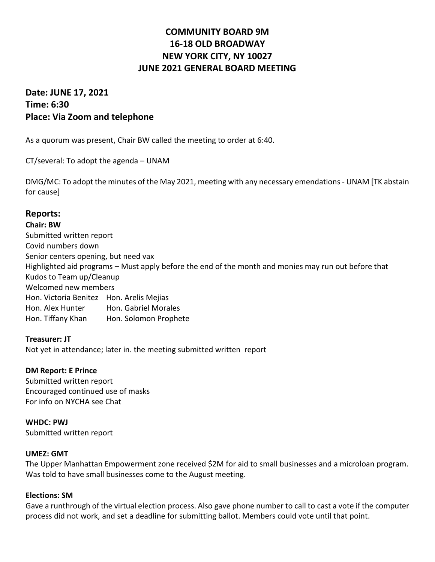# **COMMUNITY BOARD 9M 16-18 OLD BROADWAY NEW YORK CITY, NY 10027 JUNE 2021 GENERAL BOARD MEETING**

## **Date: JUNE 17, 2021 Time: 6:30 Place: Via Zoom and telephone**

As a quorum was present, Chair BW called the meeting to order at 6:40.

CT/several: To adopt the agenda – UNAM

DMG/MC: To adopt the minutes of the May 2021, meeting with any necessary emendations - UNAM [TK abstain for cause]

## **Reports:**

**Chair: BW** Submitted written report Covid numbers down Senior centers opening, but need vax Highlighted aid programs – Must apply before the end of the month and monies may run out before that Kudos to Team up/Cleanup Welcomed new members Hon. Victoria Benitez Hon. Arelis Mejias Hon. Alex Hunter Hon. Gabriel Morales Hon. Tiffany Khan Hon. Solomon Prophete

**Treasurer: JT** Not yet in attendance; later in. the meeting submitted written report

#### **DM Report: E Prince**

Submitted written report Encouraged continued use of masks For info on NYCHA see Chat

## **WHDC: PWJ**

Submitted written report

#### **UMEZ: GMT**

The Upper Manhattan Empowerment zone received \$2M for aid to small businesses and a microloan program. Was told to have small businesses come to the August meeting.

#### **Elections: SM**

Gave a runthrough of the virtual election process. Also gave phone number to call to cast a vote if the computer process did not work, and set a deadline for submitting ballot. Members could vote until that point.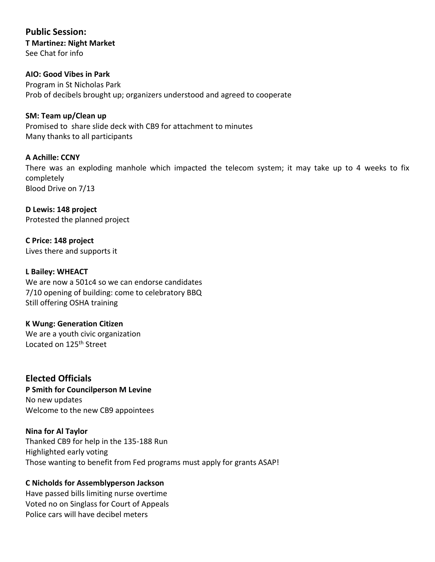**Public Session: T Martinez: Night Market** See Chat for info

**AIO: Good Vibes in Park** Program in St Nicholas Park Prob of decibels brought up; organizers understood and agreed to cooperate

**SM: Team up/Clean up** Promised to share slide deck with CB9 for attachment to minutes Many thanks to all participants

**A Achille: CCNY** There was an exploding manhole which impacted the telecom system; it may take up to 4 weeks to fix completely Blood Drive on 7/13

**D Lewis: 148 project** Protested the planned project

**C Price: 148 project** Lives there and supports it

**L Bailey: WHEACT** We are now a 501c4 so we can endorse candidates 7/10 opening of building: come to celebratory BBQ Still offering OSHA training

**K Wung: Generation Citizen** We are a youth civic organization Located on 125<sup>th</sup> Street

**Elected Officials P Smith for Councilperson M Levine** No new updates Welcome to the new CB9 appointees

**Nina for Al Taylor** Thanked CB9 for help in the 135-188 Run Highlighted early voting Those wanting to benefit from Fed programs must apply for grants ASAP!

#### **C Nicholds for Assemblyperson Jackson**

Have passed bills limiting nurse overtime Voted no on Singlass for Court of Appeals Police cars will have decibel meters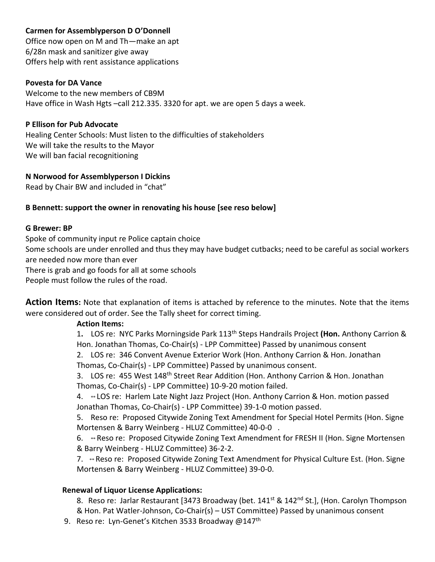## **Carmen for Assemblyperson D O'Donnell**

Office now open on M and Th—make an apt 6/28n mask and sanitizer give away Offers help with rent assistance applications

#### **Povesta for DA Vance**

Welcome to the new members of CB9M Have office in Wash Hgts -call 212.335. 3320 for apt. we are open 5 days a week.

#### **P Ellison for Pub Advocate**

Healing Center Schools: Must listen to the difficulties of stakeholders We will take the results to the Mayor We will ban facial recognitioning

#### **N Norwood for Assemblyperson I Dickins**

Read by Chair BW and included in "chat"

#### **B Bennett: support the owner in renovating his house [see reso below]**

#### **G Brewer: BP**

Spoke of community input re Police captain choice

Some schools are under enrolled and thus they may have budget cutbacks; need to be careful as social workers are needed now more than ever

There is grab and go foods for all at some schools

People must follow the rules of the road.

**Action Items:** Note that explanation of items is attached by reference to the minutes. Note that the items were considered out of order. See the Tally sheet for correct timing.

#### **Action Items:**

1**.** LOS re: NYC Parks Morningside Park 113th Steps Handrails Project **(Hon.** Anthony Carrion & Hon. Jonathan Thomas, Co-Chair(s) - LPP Committee) Passed by unanimous consent

2. LOS re: 346 Convent Avenue Exterior Work (Hon. Anthony Carrion & Hon. Jonathan Thomas, Co-Chair(s) - LPP Committee) Passed by unanimous consent.

3. LOS re: 455 West 148<sup>th</sup> Street Rear Addition (Hon. Anthony Carrion & Hon. Jonathan Thomas, Co-Chair(s) - LPP Committee) 10-9-20 motion failed.

4. \*\* LOS re: Harlem Late Night Jazz Project (Hon. Anthony Carrion & Hon. motion passed Jonathan Thomas, Co-Chair(s) - LPP Committee) 39-1-0 motion passed.

5. Reso re: Proposed Citywide Zoning Text Amendment for Special Hotel Permits (Hon. Signe Mortensen & Barry Weinberg - HLUZ Committee) 40-0-0 .

6. \*\* Reso re: Proposed Citywide Zoning Text Amendment for FRESH II (Hon. Signe Mortensen & Barry Weinberg - HLUZ Committee) 36-2-2.

7. \*\* Reso re: Proposed Citywide Zoning Text Amendment for Physical Culture Est. (Hon. Signe Mortensen & Barry Weinberg - HLUZ Committee) 39-0-0.

#### **Renewal of Liquor License Applications:**

8. Reso re: Jarlar Restaurant [3473 Broadway (bet. 141<sup>st</sup> & 142<sup>nd</sup> St.], (Hon. Carolyn Thompson & Hon. Pat Watler-Johnson, Co-Chair(s) – UST Committee) Passed by unanimous consent

9. Reso re: Lyn-Genet's Kitchen 3533 Broadway @147<sup>th</sup>